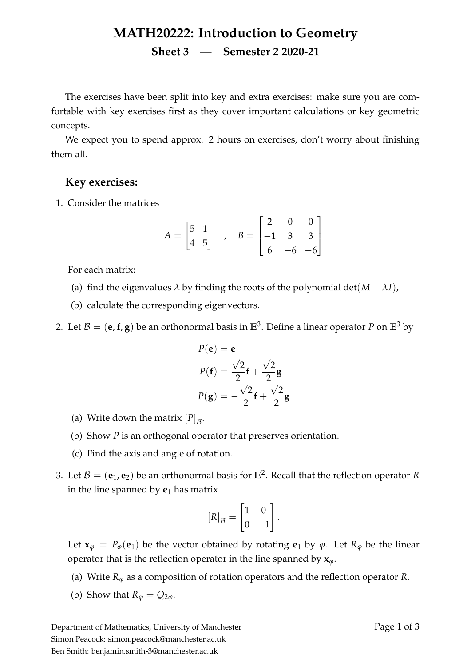## **MATH20222: Introduction to Geometry Sheet 3 — Semester 2 2020-21**

The exercises have been split into key and extra exercises: make sure you are comfortable with key exercises first as they cover important calculations or key geometric concepts.

We expect you to spend approx. 2 hours on exercises, don't worry about finishing them all.

## **Key exercises:**

1. Consider the matrices

$$
A = \begin{bmatrix} 5 & 1 \\ 4 & 5 \end{bmatrix} , B = \begin{bmatrix} 2 & 0 & 0 \\ -1 & 3 & 3 \\ 6 & -6 & -6 \end{bmatrix}
$$

For each matrix:

- (a) find the eigenvalues  $\lambda$  by finding the roots of the polynomial det( $M \lambda I$ ),
- (b) calculate the corresponding eigenvectors.
- 2. Let  $\mathcal{B} = (\mathbf{e}, \mathbf{f}, \mathbf{g})$  be an orthonormal basis in  $\mathbb{E}^3$ . Define a linear operator  $P$  on  $\mathbb{E}^3$  by

$$
P(\mathbf{e}) = \mathbf{e}
$$
  
\n
$$
P(\mathbf{f}) = \frac{\sqrt{2}}{2}\mathbf{f} + \frac{\sqrt{2}}{2}\mathbf{g}
$$
  
\n
$$
P(\mathbf{g}) = -\frac{\sqrt{2}}{2}\mathbf{f} + \frac{\sqrt{2}}{2}\mathbf{g}
$$

- (a) Write down the matrix  $[P]_B$ .
- (b) Show *P* is an orthogonal operator that preserves orientation.
- (c) Find the axis and angle of rotation.
- 3. Let  $\mathcal{B} = (\mathbf{e}_1, \mathbf{e}_2)$  be an orthonormal basis for  $\mathbb{E}^2$ . Recall that the reflection operator R in the line spanned by  $e_1$  has matrix

$$
[R]_{\mathcal{B}} = \begin{bmatrix} 1 & 0 \\ 0 & -1 \end{bmatrix}.
$$

Let  $\mathbf{x}_{\varphi} = P_{\varphi}(\mathbf{e}_1)$  be the vector obtained by rotating  $\mathbf{e}_1$  by  $\varphi$ . Let  $R_{\varphi}$  be the linear operator that is the reflection operator in the line spanned by  $x_{\varphi}$ .

- (a) Write  $R_{\varphi}$  as a composition of rotation operators and the reflection operator  $R$ .
- (b) Show that  $R_{\varphi} = Q_{2\varphi}$ .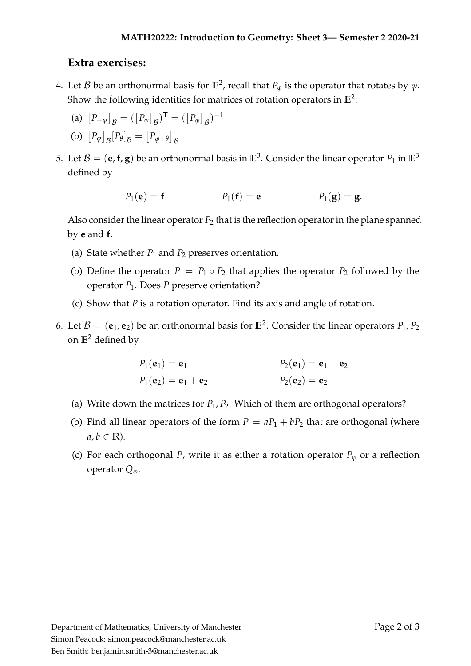## **Extra exercises:**

- 4. Let  $\mathcal B$  be an orthonormal basis for  $\mathbb E^2$ , recall that  $P_\varphi$  is the operator that rotates by  $\varphi$ . Show the following identities for matrices of rotation operators in  $\mathbb{E}^2$ :
	- (a)  $[P_{-\varphi}]_B = ([P_{\varphi}]_B)^{\top} = ([P_{\varphi}]_B)^{-1}$

(b) 
$$
[P_{\varphi}]_{\mathcal{B}}[P_{\theta}]_{\mathcal{B}} = [P_{\varphi+\theta}]_{\mathcal{B}}
$$

5. Let  $\mathcal{B} = (\mathbf{e}, \mathbf{f}, \mathbf{g})$  be an orthonormal basis in  $\mathbb{E}^3$ . Consider the linear operator  $P_1$  in  $\mathbb{E}^3$ defined by

$$
P_1(e) = f
$$
  $P_1(f) = e$   $P_1(g) = g.$ 

Also consider the linear operator  $P_2$  that is the reflection operator in the plane spanned by **e** and **f**.

- (a) State whether  $P_1$  and  $P_2$  preserves orientation.
- (b) Define the operator  $P = P_1 \circ P_2$  that applies the operator  $P_2$  followed by the operator *P*1. Does *P* preserve orientation?
- (c) Show that *P* is a rotation operator. Find its axis and angle of rotation.
- 6. Let  $\mathcal{B} = (\mathbf{e}_1, \mathbf{e}_2)$  be an orthonormal basis for  $\mathbb{E}^2$ . Consider the linear operators  $P_1, P_2$ on **E**<sup>2</sup> defined by

$$
P_1(\mathbf{e}_1) = \mathbf{e}_1
$$
  
\n $P_1(\mathbf{e}_2) = \mathbf{e}_1 + \mathbf{e}_2$   
\n $P_2(\mathbf{e}_2) = \mathbf{e}_2$   
\n $P_2(\mathbf{e}_2) = \mathbf{e}_2$ 

- (a) Write down the matrices for  $P_1$ ,  $P_2$ . Which of them are orthogonal operators?
- (b) Find all linear operators of the form  $P = aP_1 + bP_2$  that are orthogonal (where  $a, b \in \mathbb{R}$ ).
- (c) For each orthogonal *P*, write it as either a rotation operator  $P_\varphi$  or a reflection operator  $Q_{\varphi}$ .